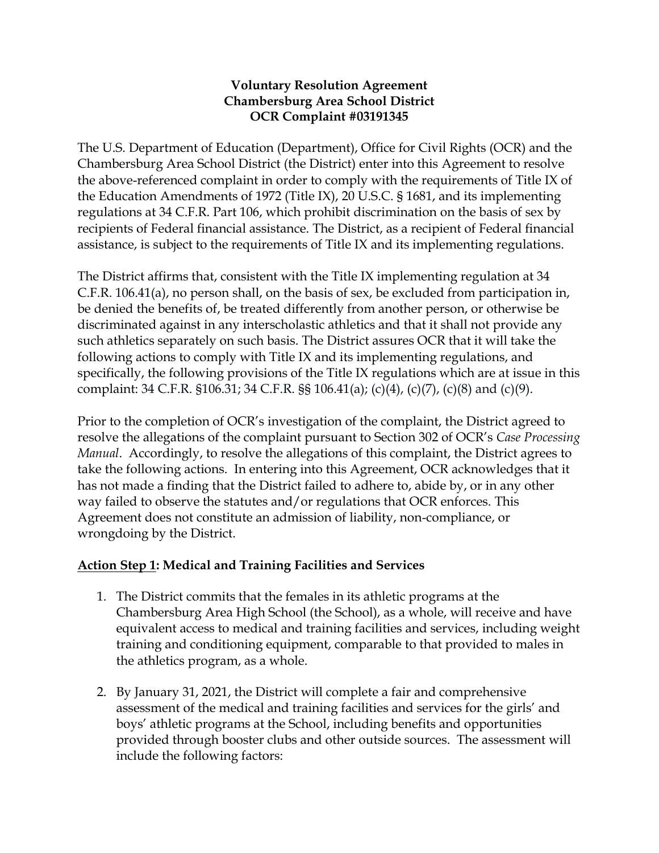## **Voluntary Resolution Agreement Chambersburg Area School District OCR Complaint #03191345**

The U.S. Department of Education (Department), Office for Civil Rights (OCR) and the Chambersburg Area School District (the District) enter into this Agreement to resolve the above-referenced complaint in order to comply with the requirements of Title IX of the Education Amendments of 1972 (Title IX), 20 U.S.C. § 1681, and its implementing regulations at 34 C.F.R. Part 106, which prohibit discrimination on the basis of sex by recipients of Federal financial assistance. The District, as a recipient of Federal financial assistance, is subject to the requirements of Title IX and its implementing regulations.

The District affirms that, consistent with the Title IX implementing regulation at 34 C.F.R. 106.41(a), no person shall, on the basis of sex, be excluded from participation in, be denied the benefits of, be treated differently from another person, or otherwise be discriminated against in any interscholastic athletics and that it shall not provide any such athletics separately on such basis. The District assures OCR that it will take the following actions to comply with Title IX and its implementing regulations, and specifically, the following provisions of the Title IX regulations which are at issue in this complaint: 34 C.F.R. §106.31; 34 C.F.R. §§ 106.41(a); (c)(4), (c)(7), (c)(8) and (c)(9).

Prior to the completion of OCR's investigation of the complaint, the District agreed to resolve the allegations of the complaint pursuant to Section 302 of OCR's *Case Processing Manual*. Accordingly, to resolve the allegations of this complaint, the District agrees to take the following actions. In entering into this Agreement, OCR acknowledges that it has not made a finding that the District failed to adhere to, abide by, or in any other way failed to observe the statutes and/or regulations that OCR enforces. This Agreement does not constitute an admission of liability, non-compliance, or wrongdoing by the District.

# **Action Step 1: Medical and Training Facilities and Services**

- 1. The District commits that the females in its athletic programs at the Chambersburg Area High School (the School), as a whole, will receive and have equivalent access to medical and training facilities and services, including weight training and conditioning equipment, comparable to that provided to males in the athletics program, as a whole.
- 2. By January 31, 2021, the District will complete a fair and comprehensive assessment of the medical and training facilities and services for the girls' and boys' athletic programs at the School, including benefits and opportunities provided through booster clubs and other outside sources. The assessment will include the following factors: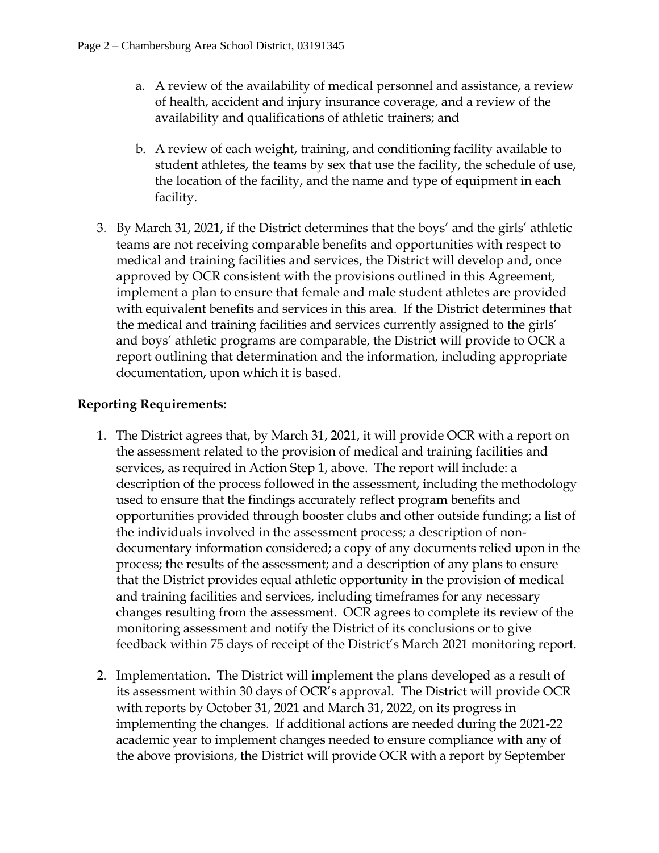- a. A review of the availability of medical personnel and assistance, a review of health, accident and injury insurance coverage, and a review of the availability and qualifications of athletic trainers; and
- b. A review of each weight, training, and conditioning facility available to student athletes, the teams by sex that use the facility, the schedule of use, the location of the facility, and the name and type of equipment in each facility.
- 3. By March 31, 2021, if the District determines that the boys' and the girls' athletic teams are not receiving comparable benefits and opportunities with respect to medical and training facilities and services, the District will develop and, once approved by OCR consistent with the provisions outlined in this Agreement, implement a plan to ensure that female and male student athletes are provided with equivalent benefits and services in this area. If the District determines that the medical and training facilities and services currently assigned to the girls' and boys' athletic programs are comparable, the District will provide to OCR a report outlining that determination and the information, including appropriate documentation, upon which it is based.

# **Reporting Requirements:**

- 1. The District agrees that, by March 31, 2021, it will provide OCR with a report on the assessment related to the provision of medical and training facilities and services, as required in Action Step 1, above. The report will include: a description of the process followed in the assessment, including the methodology used to ensure that the findings accurately reflect program benefits and opportunities provided through booster clubs and other outside funding; a list of the individuals involved in the assessment process; a description of nondocumentary information considered; a copy of any documents relied upon in the process; the results of the assessment; and a description of any plans to ensure that the District provides equal athletic opportunity in the provision of medical and training facilities and services, including timeframes for any necessary changes resulting from the assessment. OCR agrees to complete its review of the monitoring assessment and notify the District of its conclusions or to give feedback within 75 days of receipt of the District's March 2021 monitoring report.
- 2. Implementation. The District will implement the plans developed as a result of its assessment within 30 days of OCR's approval. The District will provide OCR with reports by October 31, 2021 and March 31, 2022, on its progress in implementing the changes. If additional actions are needed during the 2021-22 academic year to implement changes needed to ensure compliance with any of the above provisions, the District will provide OCR with a report by September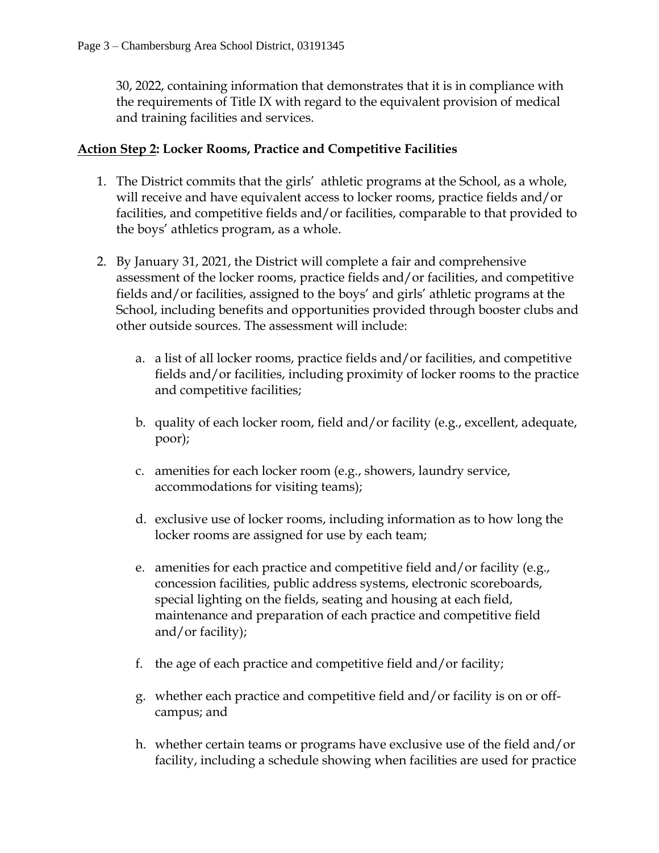30, 2022, containing information that demonstrates that it is in compliance with the requirements of Title IX with regard to the equivalent provision of medical and training facilities and services.

## **Action Step 2: Locker Rooms, Practice and Competitive Facilities**

- 1. The District commits that the girls' athletic programs at the School, as a whole, will receive and have equivalent access to locker rooms, practice fields and/or facilities, and competitive fields and/or facilities, comparable to that provided to the boys' athletics program, as a whole.
- 2. By January 31, 2021, the District will complete a fair and comprehensive assessment of the locker rooms, practice fields and/or facilities, and competitive fields and/or facilities, assigned to the boys' and girls' athletic programs at the School, including benefits and opportunities provided through booster clubs and other outside sources. The assessment will include:
	- a. a list of all locker rooms, practice fields and/or facilities, and competitive fields and/or facilities, including proximity of locker rooms to the practice and competitive facilities;
	- b. quality of each locker room, field and/or facility (e.g., excellent, adequate, poor);
	- c. amenities for each locker room (e.g., showers, laundry service, accommodations for visiting teams);
	- d. exclusive use of locker rooms, including information as to how long the locker rooms are assigned for use by each team;
	- e. amenities for each practice and competitive field and/or facility (e.g., concession facilities, public address systems, electronic scoreboards, special lighting on the fields, seating and housing at each field, maintenance and preparation of each practice and competitive field and/or facility);
	- f. the age of each practice and competitive field and/or facility;
	- g. whether each practice and competitive field and/or facility is on or offcampus; and
	- h. whether certain teams or programs have exclusive use of the field and/or facility, including a schedule showing when facilities are used for practice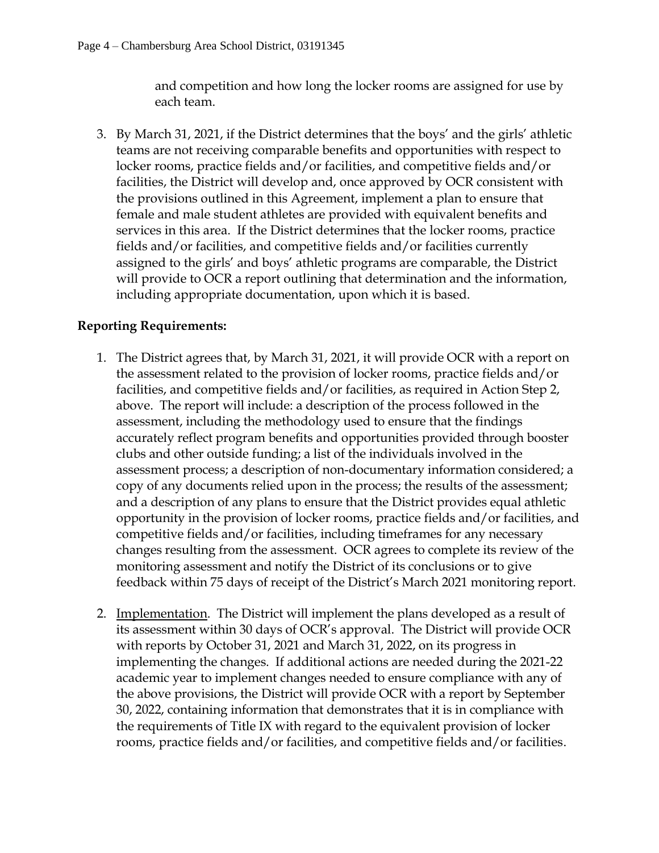and competition and how long the locker rooms are assigned for use by each team.

3. By March 31, 2021, if the District determines that the boys' and the girls' athletic teams are not receiving comparable benefits and opportunities with respect to locker rooms, practice fields and/or facilities, and competitive fields and/or facilities, the District will develop and, once approved by OCR consistent with the provisions outlined in this Agreement, implement a plan to ensure that female and male student athletes are provided with equivalent benefits and services in this area. If the District determines that the locker rooms, practice fields and/or facilities, and competitive fields and/or facilities currently assigned to the girls' and boys' athletic programs are comparable, the District will provide to OCR a report outlining that determination and the information, including appropriate documentation, upon which it is based.

### **Reporting Requirements:**

- 1. The District agrees that, by March 31, 2021, it will provide OCR with a report on the assessment related to the provision of locker rooms, practice fields and/or facilities, and competitive fields and/or facilities, as required in Action Step 2, above. The report will include: a description of the process followed in the assessment, including the methodology used to ensure that the findings accurately reflect program benefits and opportunities provided through booster clubs and other outside funding; a list of the individuals involved in the assessment process; a description of non-documentary information considered; a copy of any documents relied upon in the process; the results of the assessment; and a description of any plans to ensure that the District provides equal athletic opportunity in the provision of locker rooms, practice fields and/or facilities, and competitive fields and/or facilities, including timeframes for any necessary changes resulting from the assessment. OCR agrees to complete its review of the monitoring assessment and notify the District of its conclusions or to give feedback within 75 days of receipt of the District's March 2021 monitoring report.
- 2. Implementation. The District will implement the plans developed as a result of its assessment within 30 days of OCR's approval. The District will provide OCR with reports by October 31, 2021 and March 31, 2022, on its progress in implementing the changes. If additional actions are needed during the 2021-22 academic year to implement changes needed to ensure compliance with any of the above provisions, the District will provide OCR with a report by September 30, 2022, containing information that demonstrates that it is in compliance with the requirements of Title IX with regard to the equivalent provision of locker rooms, practice fields and/or facilities, and competitive fields and/or facilities.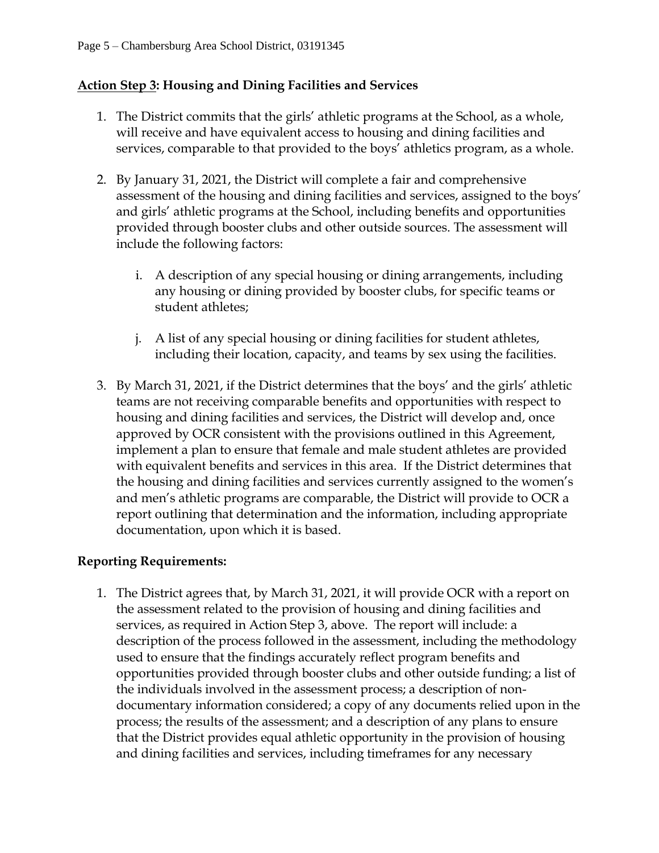## **Action Step 3: Housing and Dining Facilities and Services**

- 1. The District commits that the girls' athletic programs at the School, as a whole, will receive and have equivalent access to housing and dining facilities and services, comparable to that provided to the boys' athletics program, as a whole.
- 2. By January 31, 2021, the District will complete a fair and comprehensive assessment of the housing and dining facilities and services, assigned to the boys' and girls' athletic programs at the School, including benefits and opportunities provided through booster clubs and other outside sources. The assessment will include the following factors:
	- i. A description of any special housing or dining arrangements, including any housing or dining provided by booster clubs, for specific teams or student athletes;
	- j. A list of any special housing or dining facilities for student athletes, including their location, capacity, and teams by sex using the facilities.
- 3. By March 31, 2021, if the District determines that the boys' and the girls' athletic teams are not receiving comparable benefits and opportunities with respect to housing and dining facilities and services, the District will develop and, once approved by OCR consistent with the provisions outlined in this Agreement, implement a plan to ensure that female and male student athletes are provided with equivalent benefits and services in this area. If the District determines that the housing and dining facilities and services currently assigned to the women's and men's athletic programs are comparable, the District will provide to OCR a report outlining that determination and the information, including appropriate documentation, upon which it is based.

#### **Reporting Requirements:**

1. The District agrees that, by March 31, 2021, it will provide OCR with a report on the assessment related to the provision of housing and dining facilities and services, as required in Action Step 3, above. The report will include: a description of the process followed in the assessment, including the methodology used to ensure that the findings accurately reflect program benefits and opportunities provided through booster clubs and other outside funding; a list of the individuals involved in the assessment process; a description of nondocumentary information considered; a copy of any documents relied upon in the process; the results of the assessment; and a description of any plans to ensure that the District provides equal athletic opportunity in the provision of housing and dining facilities and services, including timeframes for any necessary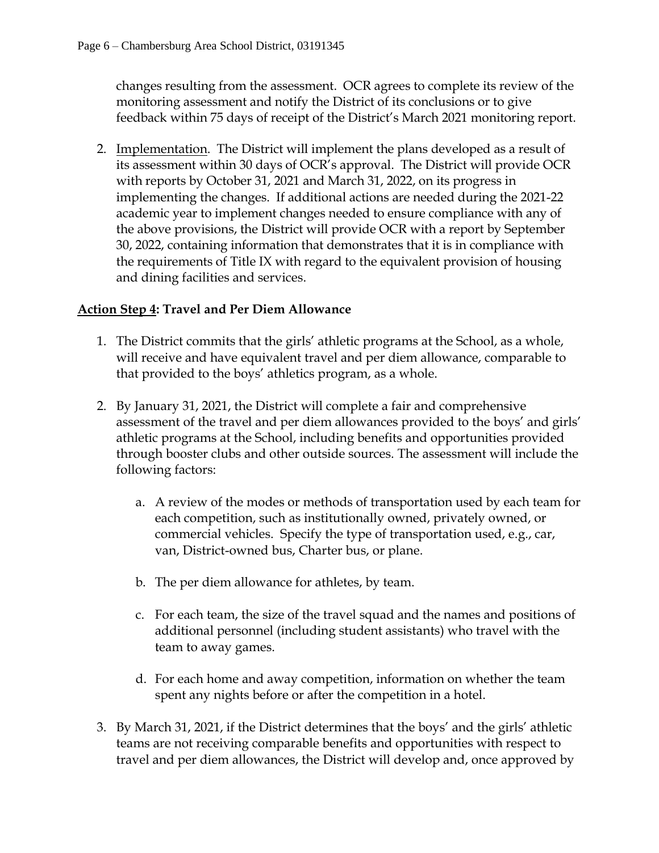changes resulting from the assessment. OCR agrees to complete its review of the monitoring assessment and notify the District of its conclusions or to give feedback within 75 days of receipt of the District's March 2021 monitoring report.

2. Implementation. The District will implement the plans developed as a result of its assessment within 30 days of OCR's approval. The District will provide OCR with reports by October 31, 2021 and March 31, 2022, on its progress in implementing the changes. If additional actions are needed during the 2021-22 academic year to implement changes needed to ensure compliance with any of the above provisions, the District will provide OCR with a report by September 30, 2022, containing information that demonstrates that it is in compliance with the requirements of Title IX with regard to the equivalent provision of housing and dining facilities and services.

# **Action Step 4: Travel and Per Diem Allowance**

- 1. The District commits that the girls' athletic programs at the School, as a whole, will receive and have equivalent travel and per diem allowance, comparable to that provided to the boys' athletics program, as a whole.
- 2. By January 31, 2021, the District will complete a fair and comprehensive assessment of the travel and per diem allowances provided to the boys' and girls' athletic programs at the School, including benefits and opportunities provided through booster clubs and other outside sources. The assessment will include the following factors:
	- a. A review of the modes or methods of transportation used by each team for each competition, such as institutionally owned, privately owned, or commercial vehicles. Specify the type of transportation used, e.g., car, van, District-owned bus, Charter bus, or plane.
	- b. The per diem allowance for athletes, by team.
	- c. For each team, the size of the travel squad and the names and positions of additional personnel (including student assistants) who travel with the team to away games.
	- d. For each home and away competition, information on whether the team spent any nights before or after the competition in a hotel.
- 3. By March 31, 2021, if the District determines that the boys' and the girls' athletic teams are not receiving comparable benefits and opportunities with respect to travel and per diem allowances, the District will develop and, once approved by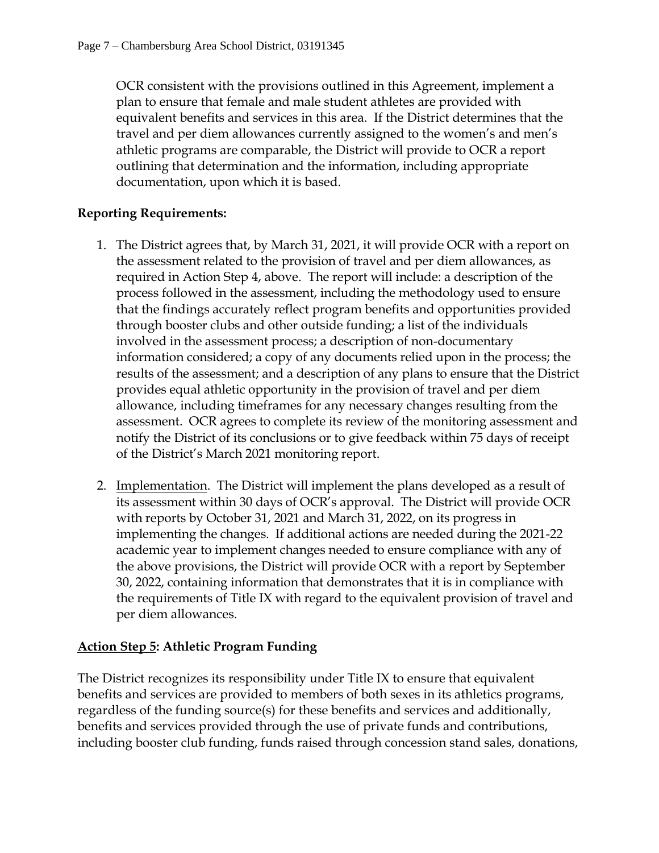OCR consistent with the provisions outlined in this Agreement, implement a plan to ensure that female and male student athletes are provided with equivalent benefits and services in this area. If the District determines that the travel and per diem allowances currently assigned to the women's and men's athletic programs are comparable, the District will provide to OCR a report outlining that determination and the information, including appropriate documentation, upon which it is based.

### **Reporting Requirements:**

- 1. The District agrees that, by March 31, 2021, it will provide OCR with a report on the assessment related to the provision of travel and per diem allowances, as required in Action Step 4, above. The report will include: a description of the process followed in the assessment, including the methodology used to ensure that the findings accurately reflect program benefits and opportunities provided through booster clubs and other outside funding; a list of the individuals involved in the assessment process; a description of non-documentary information considered; a copy of any documents relied upon in the process; the results of the assessment; and a description of any plans to ensure that the District provides equal athletic opportunity in the provision of travel and per diem allowance, including timeframes for any necessary changes resulting from the assessment. OCR agrees to complete its review of the monitoring assessment and notify the District of its conclusions or to give feedback within 75 days of receipt of the District's March 2021 monitoring report.
- 2. Implementation. The District will implement the plans developed as a result of its assessment within 30 days of OCR's approval. The District will provide OCR with reports by October 31, 2021 and March 31, 2022, on its progress in implementing the changes. If additional actions are needed during the 2021-22 academic year to implement changes needed to ensure compliance with any of the above provisions, the District will provide OCR with a report by September 30, 2022, containing information that demonstrates that it is in compliance with the requirements of Title IX with regard to the equivalent provision of travel and per diem allowances.

# **Action Step 5: Athletic Program Funding**

The District recognizes its responsibility under Title IX to ensure that equivalent benefits and services are provided to members of both sexes in its athletics programs, regardless of the funding source(s) for these benefits and services and additionally, benefits and services provided through the use of private funds and contributions, including booster club funding, funds raised through concession stand sales, donations,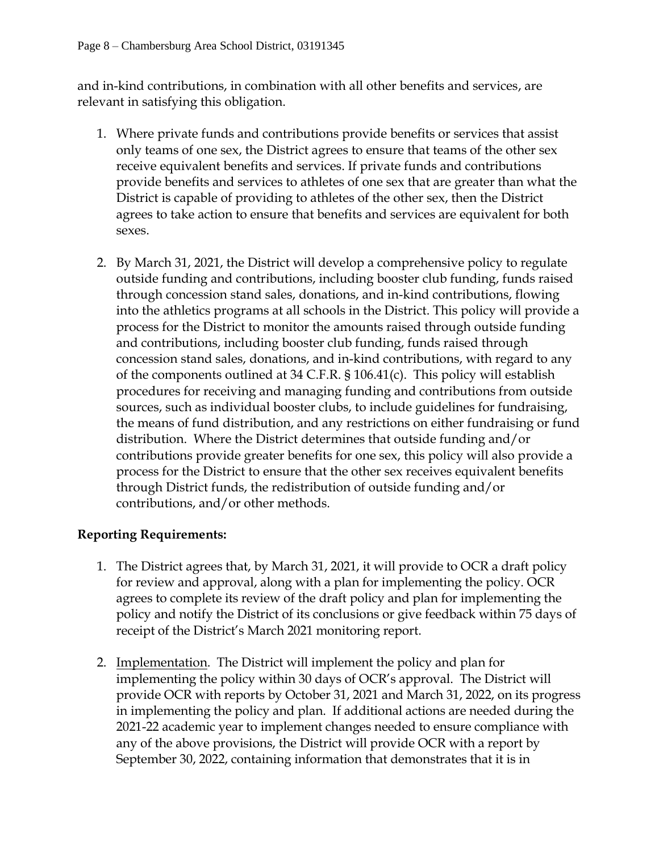and in-kind contributions, in combination with all other benefits and services, are relevant in satisfying this obligation.

- 1. Where private funds and contributions provide benefits or services that assist only teams of one sex, the District agrees to ensure that teams of the other sex receive equivalent benefits and services. If private funds and contributions provide benefits and services to athletes of one sex that are greater than what the District is capable of providing to athletes of the other sex, then the District agrees to take action to ensure that benefits and services are equivalent for both sexes.
- 2. By March 31, 2021, the District will develop a comprehensive policy to regulate outside funding and contributions, including booster club funding, funds raised through concession stand sales, donations, and in-kind contributions, flowing into the athletics programs at all schools in the District. This policy will provide a process for the District to monitor the amounts raised through outside funding and contributions, including booster club funding, funds raised through concession stand sales, donations, and in-kind contributions, with regard to any of the components outlined at 34 C.F.R. § 106.41(c). This policy will establish procedures for receiving and managing funding and contributions from outside sources, such as individual booster clubs, to include guidelines for fundraising, the means of fund distribution, and any restrictions on either fundraising or fund distribution. Where the District determines that outside funding and/or contributions provide greater benefits for one sex, this policy will also provide a process for the District to ensure that the other sex receives equivalent benefits through District funds, the redistribution of outside funding and/or contributions, and/or other methods.

# **Reporting Requirements:**

- 1. The District agrees that, by March 31, 2021, it will provide to OCR a draft policy for review and approval, along with a plan for implementing the policy. OCR agrees to complete its review of the draft policy and plan for implementing the policy and notify the District of its conclusions or give feedback within 75 days of receipt of the District's March 2021 monitoring report.
- 2. Implementation. The District will implement the policy and plan for implementing the policy within 30 days of OCR's approval. The District will provide OCR with reports by October 31, 2021 and March 31, 2022, on its progress in implementing the policy and plan. If additional actions are needed during the 2021-22 academic year to implement changes needed to ensure compliance with any of the above provisions, the District will provide OCR with a report by September 30, 2022, containing information that demonstrates that it is in